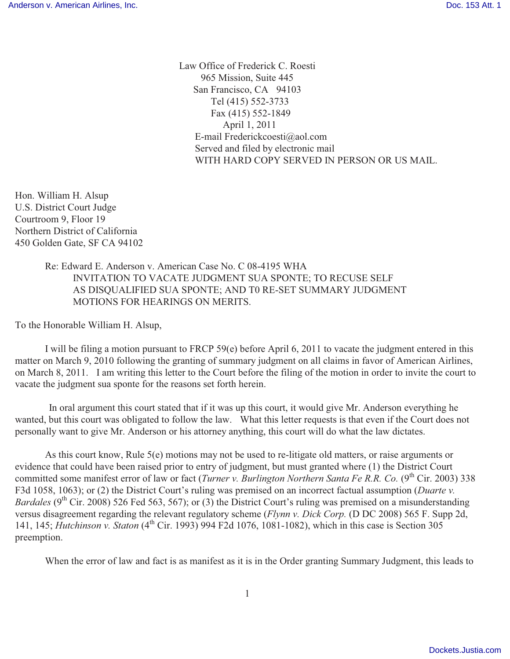Law Office of Frederick C. Roesti 965 Mission, Suite 445 San Francisco, CA 94103 Tel (415) 552-3733 Fax (415) 552-1849 April 1, 2011 E-mail Frederickcoesti@aol.com Served and filed by electronic mail WITH HARD COPY SERVED IN PERSON OR US MAIL.

Hon. William H. Alsup U.S. District Court Judge Courtroom 9, Floor 19 Northern District of California 450 Golden Gate, SF CA 94102

> Re: Edward E. Anderson v. American Case No. C 08-4195 WHA INVITATION TO VACATE JUDGMENT SUA SPONTE; TO RECUSE SELF AS DISQUALIFIED SUA SPONTE; AND T0 RE-SET SUMMARY JUDGMENT MOTIONS FOR HEARINGS ON MERITS.

To the Honorable William H. Alsup,

I will be filing a motion pursuant to FRCP 59(e) before April 6, 2011 to vacate the judgment entered in this matter on March 9, 2010 following the granting of summary judgment on all claims in favor of American Airlines, on March 8, 2011. I am writing this letter to the Court before the filing of the motion in order to invite the court to vacate the judgment sua sponte for the reasons set forth herein.

 In oral argument this court stated that if it was up this court, it would give Mr. Anderson everything he wanted, but this court was obligated to follow the law. What this letter requests is that even if the Court does not personally want to give Mr. Anderson or his attorney anything, this court will do what the law dictates.

As this court know, Rule 5(e) motions may not be used to re-litigate old matters, or raise arguments or evidence that could have been raised prior to entry of judgment, but must granted where (1) the District Court committed some manifest error of law or fact (*Turner v. Burlington Northern Santa Fe R.R. Co.* (9<sup>th</sup> Cir. 2003) 338 F3d 1058, 1063); or (2) the District Court's ruling was premised on an incorrect factual assumption (*Duarte v. Bardales* (9<sup>th</sup> Cir. 2008) 526 Fed 563, 567); or (3) the District Court's ruling was premised on a misunderstanding versus disagreement regarding the relevant regulatory scheme (*Flynn v. Dick Corp.* (D DC 2008) 565 F. Supp 2d, 141, 145; *Hutchinson v. Staton* (4<sup>th</sup> Cir. 1993) 994 F2d 1076, 1081-1082), which in this case is Section 305 preemption.

When the error of law and fact is as manifest as it is in the Order granting Summary Judgment, this leads to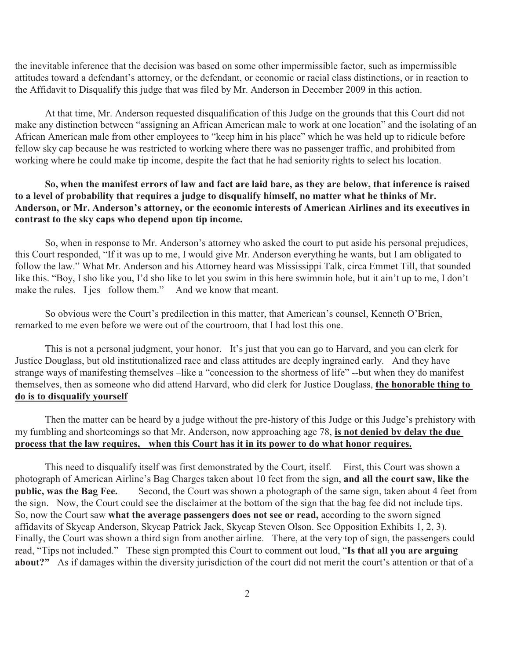the inevitable inference that the decision was based on some other impermissible factor, such as impermissible attitudes toward a defendant's attorney, or the defendant, or economic or racial class distinctions, or in reaction to the Affidavit to Disqualify this judge that was filed by Mr. Anderson in December 2009 in this action.

At that time, Mr. Anderson requested disqualification of this Judge on the grounds that this Court did not make any distinction between "assigning an African American male to work at one location" and the isolating of an African American male from other employees to "keep him in his place" which he was held up to ridicule before fellow sky cap because he was restricted to working where there was no passenger traffic, and prohibited from working where he could make tip income, despite the fact that he had seniority rights to select his location.

## **So, when the manifest errors of law and fact are laid bare, as they are below, that inference is raised to a level of probability that requires a judge to disqualify himself, no matter what he thinks of Mr. Anderson, or Mr. Anderson's attorney, or the economic interests of American Airlines and its executives in contrast to the sky caps who depend upon tip income.**

So, when in response to Mr. Anderson's attorney who asked the court to put aside his personal prejudices, this Court responded, "If it was up to me, I would give Mr. Anderson everything he wants, but I am obligated to follow the law." What Mr. Anderson and his Attorney heard was Mississippi Talk, circa Emmet Till, that sounded like this. "Boy, I sho like you, I'd sho like to let you swim in this here swimmin hole, but it ain't up to me, I don't make the rules. I jes follow them." And we know that meant.

So obvious were the Court's predilection in this matter, that American's counsel, Kenneth O'Brien, remarked to me even before we were out of the courtroom, that I had lost this one.

This is not a personal judgment, your honor. It's just that you can go to Harvard, and you can clerk for Justice Douglass, but old institutionalized race and class attitudes are deeply ingrained early. And they have strange ways of manifesting themselves –like a "concession to the shortness of life" --but when they do manifest themselves, then as someone who did attend Harvard, who did clerk for Justice Douglass, **the honorable thing to do is to disqualify yourself**

Then the matter can be heard by a judge without the pre-history of this Judge or this Judge's prehistory with my fumbling and shortcomings so that Mr. Anderson, now approaching age 78, **is not denied by delay the due process that the law requires, when this Court has it in its power to do what honor requires.**

This need to disqualify itself was first demonstrated by the Court, itself. First, this Court was shown a photograph of American Airline's Bag Charges taken about 10 feet from the sign, **and all the court saw, like the public, was the Bag Fee.** Second, the Court was shown a photograph of the same sign, taken about 4 feet from the sign. Now, the Court could see the disclaimer at the bottom of the sign that the bag fee did not include tips. So, now the Court saw **what the average passengers does not see or read,** according to the sworn signed affidavits of Skycap Anderson, Skycap Patrick Jack, Skycap Steven Olson. See Opposition Exhibits 1, 2, 3). Finally, the Court was shown a third sign from another airline. There, at the very top of sign, the passengers could read, "Tips not included." These sign prompted this Court to comment out loud, "**Is that all you are arguing about?"** As if damages within the diversity jurisdiction of the court did not merit the court's attention or that of a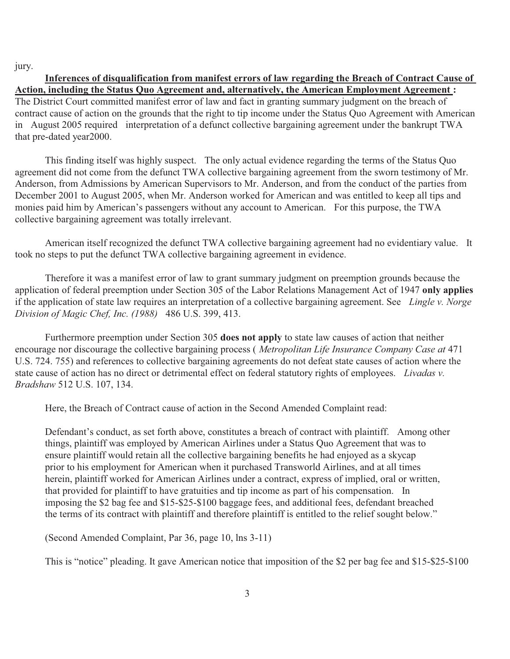jury.

**Inferences of disqualification from manifest errors of law regarding the Breach of Contract Cause of Action, including the Status Quo Agreement and, alternatively, the American Employment Agreement :**  The District Court committed manifest error of law and fact in granting summary judgment on the breach of contract cause of action on the grounds that the right to tip income under the Status Quo Agreement with American in August 2005 required interpretation of a defunct collective bargaining agreement under the bankrupt TWA that pre-dated year2000.

This finding itself was highly suspect. The only actual evidence regarding the terms of the Status Quo agreement did not come from the defunct TWA collective bargaining agreement from the sworn testimony of Mr. Anderson, from Admissions by American Supervisors to Mr. Anderson, and from the conduct of the parties from December 2001 to August 2005, when Mr. Anderson worked for American and was entitled to keep all tips and monies paid him by American's passengers without any account to American. For this purpose, the TWA collective bargaining agreement was totally irrelevant.

American itself recognized the defunct TWA collective bargaining agreement had no evidentiary value. It took no steps to put the defunct TWA collective bargaining agreement in evidence.

Therefore it was a manifest error of law to grant summary judgment on preemption grounds because the application of federal preemption under Section 305 of the Labor Relations Management Act of 1947 **only applies**  if the application of state law requires an interpretation of a collective bargaining agreement. See *Lingle v. Norge Division of Magic Chef, Inc. (1988)* 486 U.S. 399, 413.

Furthermore preemption under Section 305 **does not apply** to state law causes of action that neither encourage nor discourage the collective bargaining process ( *Metropolitan Life Insurance Company Case at* 471 U.S. 724. 755) and references to collective bargaining agreements do not defeat state causes of action where the state cause of action has no direct or detrimental effect on federal statutory rights of employees. *Livadas v. Bradshaw* 512 U.S. 107, 134.

Here, the Breach of Contract cause of action in the Second Amended Complaint read:

Defendant's conduct, as set forth above, constitutes a breach of contract with plaintiff. Among other things, plaintiff was employed by American Airlines under a Status Quo Agreement that was to ensure plaintiff would retain all the collective bargaining benefits he had enjoyed as a skycap prior to his employment for American when it purchased Transworld Airlines, and at all times herein, plaintiff worked for American Airlines under a contract, express of implied, oral or written, that provided for plaintiff to have gratuities and tip income as part of his compensation. In imposing the \$2 bag fee and \$15-\$25-\$100 baggage fees, and additional fees, defendant breached the terms of its contract with plaintiff and therefore plaintiff is entitled to the relief sought below."

(Second Amended Complaint, Par 36, page 10, lns 3-11)

This is "notice" pleading. It gave American notice that imposition of the \$2 per bag fee and \$15-\$25-\$100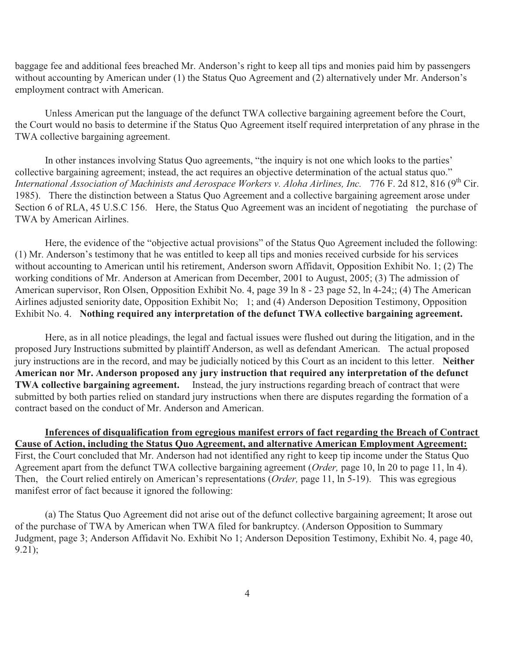baggage fee and additional fees breached Mr. Anderson's right to keep all tips and monies paid him by passengers without accounting by American under (1) the Status Quo Agreement and (2) alternatively under Mr. Anderson's employment contract with American.

Unless American put the language of the defunct TWA collective bargaining agreement before the Court, the Court would no basis to determine if the Status Quo Agreement itself required interpretation of any phrase in the TWA collective bargaining agreement.

In other instances involving Status Quo agreements, "the inquiry is not one which looks to the parties' collective bargaining agreement; instead, the act requires an objective determination of the actual status quo." *International Association of Machinists and Aerospace Workers v. Aloha Airlines, Inc.* 776 F. 2d 812, 816 (9<sup>th</sup> Cir. 1985). There the distinction between a Status Quo Agreement and a collective bargaining agreement arose under Section 6 of RLA, 45 U.S.C 156. Here, the Status Quo Agreement was an incident of negotiating the purchase of TWA by American Airlines.

Here, the evidence of the "objective actual provisions" of the Status Quo Agreement included the following: (1) Mr. Anderson's testimony that he was entitled to keep all tips and monies received curbside for his services without accounting to American until his retirement, Anderson sworn Affidavit, Opposition Exhibit No. 1; (2) The working conditions of Mr. Anderson at American from December, 2001 to August, 2005; (3) The admission of American supervisor, Ron Olsen, Opposition Exhibit No. 4, page 39 ln 8 - 23 page 52, ln 4-24;; (4) The American Airlines adjusted seniority date, Opposition Exhibit No; 1; and (4) Anderson Deposition Testimony, Opposition Exhibit No. 4. **Nothing required any interpretation of the defunct TWA collective bargaining agreement.**

Here, as in all notice pleadings, the legal and factual issues were flushed out during the litigation, and in the proposed Jury Instructions submitted by plaintiff Anderson, as well as defendant American. The actual proposed jury instructions are in the record, and may be judicially noticed by this Court as an incident to this letter. **Neither American nor Mr. Anderson proposed any jury instruction that required any interpretation of the defunct TWA collective bargaining agreement.** Instead, the jury instructions regarding breach of contract that were submitted by both parties relied on standard jury instructions when there are disputes regarding the formation of a contract based on the conduct of Mr. Anderson and American.

**Inferences of disqualification from egregious manifest errors of fact regarding the Breach of Contract Cause of Action, including the Status Quo Agreement, and alternative American Employment Agreement:** First, the Court concluded that Mr. Anderson had not identified any right to keep tip income under the Status Quo Agreement apart from the defunct TWA collective bargaining agreement (*Order,* page 10, ln 20 to page 11, ln 4). Then, the Court relied entirely on American's representations (*Order,* page 11, ln 5-19). This was egregious manifest error of fact because it ignored the following:

(a) The Status Quo Agreement did not arise out of the defunct collective bargaining agreement; It arose out of the purchase of TWA by American when TWA filed for bankruptcy. (Anderson Opposition to Summary Judgment, page 3; Anderson Affidavit No. Exhibit No 1; Anderson Deposition Testimony, Exhibit No. 4, page 40, 9.21);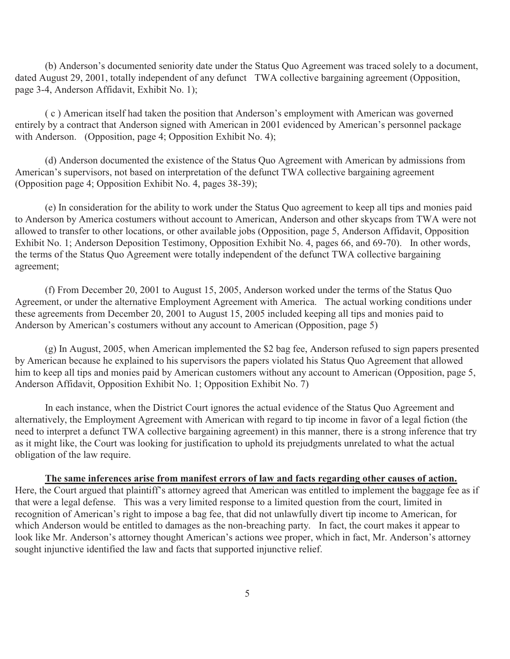(b) Anderson's documented seniority date under the Status Quo Agreement was traced solely to a document, dated August 29, 2001, totally independent of any defunct TWA collective bargaining agreement (Opposition, page 3-4, Anderson Affidavit, Exhibit No. 1);

( c ) American itself had taken the position that Anderson's employment with American was governed entirely by a contract that Anderson signed with American in 2001 evidenced by American's personnel package with Anderson. (Opposition, page 4; Opposition Exhibit No. 4);

(d) Anderson documented the existence of the Status Quo Agreement with American by admissions from American's supervisors, not based on interpretation of the defunct TWA collective bargaining agreement (Opposition page 4; Opposition Exhibit No. 4, pages 38-39);

(e) In consideration for the ability to work under the Status Quo agreement to keep all tips and monies paid to Anderson by America costumers without account to American, Anderson and other skycaps from TWA were not allowed to transfer to other locations, or other available jobs (Opposition, page 5, Anderson Affidavit, Opposition Exhibit No. 1; Anderson Deposition Testimony, Opposition Exhibit No. 4, pages 66, and 69-70). In other words, the terms of the Status Quo Agreement were totally independent of the defunct TWA collective bargaining agreement;

(f) From December 20, 2001 to August 15, 2005, Anderson worked under the terms of the Status Quo Agreement, or under the alternative Employment Agreement with America. The actual working conditions under these agreements from December 20, 2001 to August 15, 2005 included keeping all tips and monies paid to Anderson by American's costumers without any account to American (Opposition, page 5)

(g) In August, 2005, when American implemented the \$2 bag fee, Anderson refused to sign papers presented by American because he explained to his supervisors the papers violated his Status Quo Agreement that allowed him to keep all tips and monies paid by American customers without any account to American (Opposition, page 5, Anderson Affidavit, Opposition Exhibit No. 1; Opposition Exhibit No. 7)

In each instance, when the District Court ignores the actual evidence of the Status Quo Agreement and alternatively, the Employment Agreement with American with regard to tip income in favor of a legal fiction (the need to interpret a defunct TWA collective bargaining agreement) in this manner, there is a strong inference that try as it might like, the Court was looking for justification to uphold its prejudgments unrelated to what the actual obligation of the law require.

**The same inferences arise from manifest errors of law and facts regarding other causes of action.** Here, the Court argued that plaintiff's attorney agreed that American was entitled to implement the baggage fee as if

that were a legal defense. This was a very limited response to a limited question from the court, limited in recognition of American's right to impose a bag fee, that did not unlawfully divert tip income to American, for which Anderson would be entitled to damages as the non-breaching party. In fact, the court makes it appear to look like Mr. Anderson's attorney thought American's actions wee proper, which in fact, Mr. Anderson's attorney sought injunctive identified the law and facts that supported injunctive relief.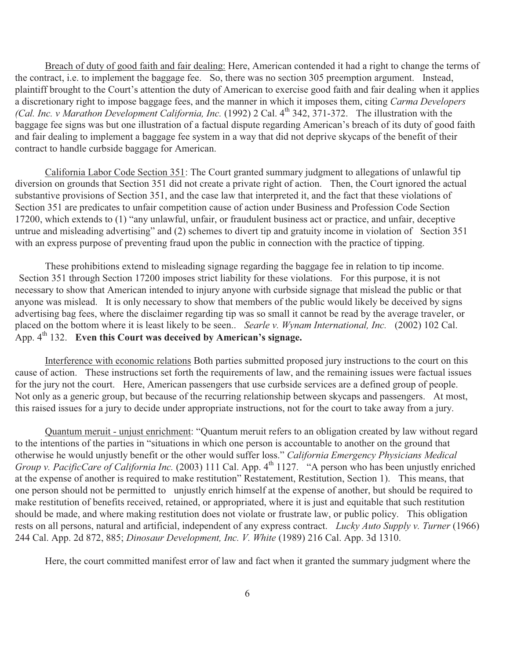Breach of duty of good faith and fair dealing: Here, American contended it had a right to change the terms of the contract, i.e. to implement the baggage fee. So, there was no section 305 preemption argument. Instead, plaintiff brought to the Court's attention the duty of American to exercise good faith and fair dealing when it applies a discretionary right to impose baggage fees, and the manner in which it imposes them, citing *Carma Developers (Cal. Inc. v Marathon Development California, Inc.* (1992) 2 Cal. 4<sup>th</sup> 342, 371-372. The illustration with the baggage fee signs was but one illustration of a factual dispute regarding American's breach of its duty of good faith and fair dealing to implement a baggage fee system in a way that did not deprive skycaps of the benefit of their contract to handle curbside baggage for American.

California Labor Code Section 351: The Court granted summary judgment to allegations of unlawful tip diversion on grounds that Section 351 did not create a private right of action. Then, the Court ignored the actual substantive provisions of Section 351, and the case law that interpreted it, and the fact that these violations of Section 351 are predicates to unfair competition cause of action under Business and Profession Code Section 17200, which extends to (1) "any unlawful, unfair, or fraudulent business act or practice, and unfair, deceptive untrue and misleading advertising" and (2) schemes to divert tip and gratuity income in violation of Section 351 with an express purpose of preventing fraud upon the public in connection with the practice of tipping.

These prohibitions extend to misleading signage regarding the baggage fee in relation to tip income. Section 351 through Section 17200 imposes strict liability for these violations. For this purpose, it is not necessary to show that American intended to injury anyone with curbside signage that mislead the public or that anyone was mislead. It is only necessary to show that members of the public would likely be deceived by signs advertising bag fees, where the disclaimer regarding tip was so small it cannot be read by the average traveler, or placed on the bottom where it is least likely to be seen.. *Searle v. Wynam International, Inc.* (2002) 102 Cal. App. 4<sup>th</sup> 132. Even this Court was deceived by American's signage.

Interference with economic relations Both parties submitted proposed jury instructions to the court on this cause of action. These instructions set forth the requirements of law, and the remaining issues were factual issues for the jury not the court. Here, American passengers that use curbside services are a defined group of people. Not only as a generic group, but because of the recurring relationship between skycaps and passengers. At most, this raised issues for a jury to decide under appropriate instructions, not for the court to take away from a jury.

Quantum meruit - unjust enrichment: "Quantum meruit refers to an obligation created by law without regard to the intentions of the parties in "situations in which one person is accountable to another on the ground that otherwise he would unjustly benefit or the other would suffer loss." *California Emergency Physicians Medical Group v. PacificCare of California Inc.* (2003) 111 Cal. App. 4<sup>th</sup> 1127. "A person who has been unjustly enriched at the expense of another is required to make restitution" Restatement, Restitution, Section 1). This means, that one person should not be permitted to unjustly enrich himself at the expense of another, but should be required to make restitution of benefits received, retained, or appropriated, where it is just and equitable that such restitution should be made, and where making restitution does not violate or frustrate law, or public policy. This obligation rests on all persons, natural and artificial, independent of any express contract. *Lucky Auto Supply v. Turner* (1966) 244 Cal. App. 2d 872, 885; *Dinosaur Development, Inc. V. White* (1989) 216 Cal. App. 3d 1310.

Here, the court committed manifest error of law and fact when it granted the summary judgment where the